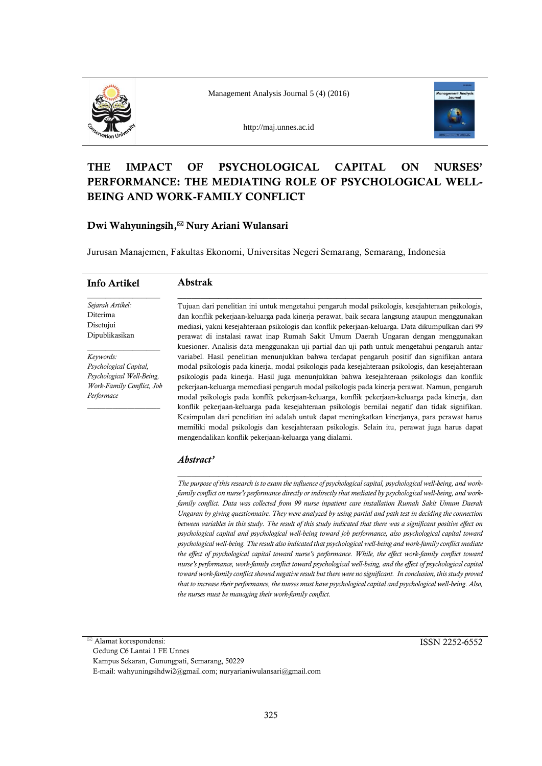

Management Analysis Journal 5 (4) (2016)

http://maj.unnes.ac.id



# **THE IMPACT OF PSYCHOLOGICAL CAPITAL ON NURSES' PERFORMANCE: THE MEDIATING ROLE OF PSYCHOLOGICAL WELL-BEING AND WORK-FAMILY CONFLICT**

# **Dwi Wahyuningsih, Nury Ariani Wulansari**

Jurusan Manajemen, Fakultas Ekonomi, Universitas Negeri Semarang, Semarang, Indonesia

| Info Artikel              | <b>Abstrak</b>                                                                                                                                                                      |
|---------------------------|-------------------------------------------------------------------------------------------------------------------------------------------------------------------------------------|
| Sejarah Artikel:          | Tujuan dari penelitian ini untuk mengetahui pengaruh modal psikologis, kesejahteraan psikologis,                                                                                    |
| Diterima                  | dan konflik pekerjaan-keluarga pada kinerja perawat, baik secara langsung ataupun menggunakan                                                                                       |
| Disetujui                 | mediasi, yakni kesejahteraan psikologis dan konflik pekerjaan-keluarga. Data dikumpulkan dari 99                                                                                    |
| Dipublikasikan            | perawat di instalasi rawat inap Rumah Sakit Umum Daerah Ungaran dengan menggunakan<br>kuesioner. Analisis data menggunakan uji partial dan uji path untuk mengetahui pengaruh antar |
| Keywords:                 | variabel. Hasil penelitian menunjukkan bahwa terdapat pengaruh positif dan signifikan antara                                                                                        |
| Psychological Capital,    | modal psikologis pada kinerja, modal psikologis pada kesejahteraan psikologis, dan kesejahteraan                                                                                    |
| Psychological Well-Being, | psikologis pada kinerja. Hasil juga menunjukkan bahwa kesejahteraan psikologis dan konflik                                                                                          |
| Work-Family Conflict, Job | pekerjaan-keluarga memediasi pengaruh modal psikologis pada kinerja perawat. Namun, pengaruh                                                                                        |
| Performace                | modal psikologis pada konflik pekerjaan-keluarga, konflik pekerjaan-keluarga pada kinerja, dan                                                                                      |
|                           | konflik pekerjaan-keluarga pada kesejahteraan psikologis bernilai negatif dan tidak signifikan.                                                                                     |
|                           | Kesimpulan dari penelitian ini adalah untuk dapat meningkatkan kinerjanya, para perawat harus                                                                                       |
|                           | memiliki modal psikologis dan kesejahteraan psikologis. Selain itu, perawat juga harus dapat                                                                                        |

mengendalikan konflik pekerjaan-keluarga yang dialami.

## *Abstract'*

*The purpose of this research is to exam the influence of psychological capital, psychological well-being, and work*family conflict on nurse's performance directly or indirectly that mediated by psychological well-being, and work*family conflict. Data was collected from 99 nurse inpatient care installation Rumah Sakit Umum Daerah Ungaran by giving questionnaire. They were analyzed by using partial and path test in deciding the connection between variables in this study. The result of this study indicated that there was a significant positive effect on psychological capital and psychological well-being toward job performance, also psychological capital toward psychological well-being. The result also indicated that psychological well-being and work-family conflict mediate the effect of psychological capital toward nurse's performance. While, the effect work-family conflict toward nurse's performance, work-family conflict toward psychological well-being, and the effect of psychological capital*  toward work-family conflict showed negative result but there were no significant. In conclusion, this study proved *that to increase their performance, the nurses must have psychological capital and psychological well-being. Also, the nurses must be managing their work-family conflict.* 

\_\_\_\_\_\_\_\_\_\_\_\_\_\_\_\_\_\_\_\_\_\_\_\_\_\_\_\_\_\_\_\_\_\_\_\_\_\_\_\_\_\_\_\_\_\_\_\_\_\_\_\_\_\_\_\_\_\_\_\_\_\_\_\_\_\_\_

 Alamat korespondensi: Gedung C6 Lantai 1 FE Unnes Kampus Sekaran, Gunungpati, Semarang, 50229 E-mail: wahyuningsihdwi2@gmail.com; nuryarianiwulansari@gmail.com ISSN 2252-6552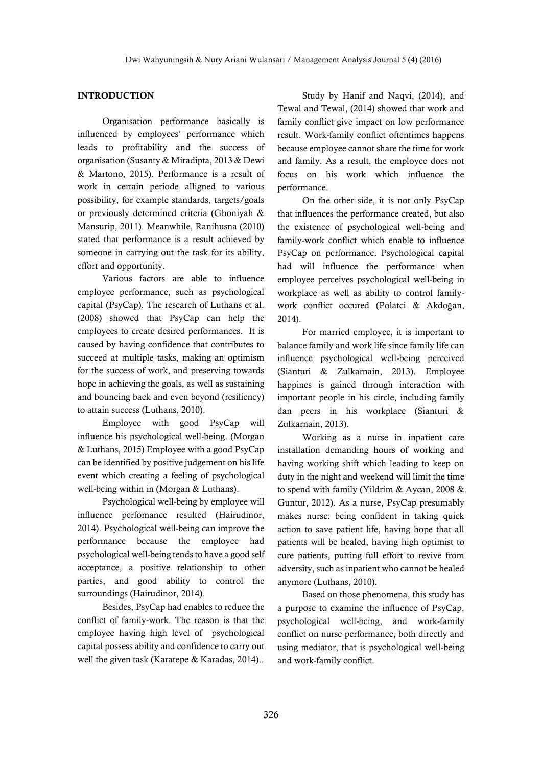# **INTRODUCTION**

Organisation performance basically is influenced by employees' performance which leads to profitability and the success of organisation (Susanty & Miradipta, 2013 & Dewi & Martono, 2015). Performance is a result of work in certain periode alligned to various possibility, for example standards, targets/goals or previously determined criteria (Ghoniyah & Mansurip, 2011). Meanwhile, Ranihusna (2010) stated that performance is a result achieved by someone in carrying out the task for its ability, effort and opportunity.

Various factors are able to influence employee performance, such as psychological capital (PsyCap). The research of Luthans et al. (2008) showed that PsyCap can help the employees to create desired performances. It is caused by having confidence that contributes to succeed at multiple tasks, making an optimism for the success of work, and preserving towards hope in achieving the goals, as well as sustaining and bouncing back and even beyond (resiliency) to attain success (Luthans, 2010).

Employee with good PsyCap will influence his psychological well-being. (Morgan & Luthans, 2015) Employee with a good PsyCap can be identified by positive judgement on his life event which creating a feeling of psychological well-being within in (Morgan & Luthans).

Psychological well-being by employee will influence perfomance resulted (Hairudinor, 2014). Psychological well-being can improve the performance because the employee had psychological well-being tends to have a good self acceptance, a positive relationship to other parties, and good ability to control the surroundings (Hairudinor, 2014).

Besides, PsyCap had enables to reduce the conflict of family-work. The reason is that the employee having high level of psychological capital possess ability and confidence to carry out well the given task (Karatepe & Karadas, 2014)..

Study by Hanif and Naqvi, (2014), and Tewal and Tewal, (2014) showed that work and family conflict give impact on low performance result. Work-family conflict oftentimes happens because employee cannot share the time for work and family. As a result, the employee does not focus on his work which influence the performance.

On the other side, it is not only PsyCap that influences the performance created, but also the existence of psychological well-being and family-work conflict which enable to influence PsyCap on performance. Psychological capital had will influence the performance when employee perceives psychological well-being in workplace as well as ability to control familywork conflict occured (Polatci & Akdoğan, 2014).

For married employee, it is important to balance family and work life since family life can influence psychological well-being perceived (Sianturi & Zulkarnain, 2013). Employee happines is gained through interaction with important people in his circle, including family dan peers in his workplace (Sianturi & Zulkarnain, 2013).

Working as a nurse in inpatient care installation demanding hours of working and having working shift which leading to keep on duty in the night and weekend will limit the time to spend with family (Yildrim & Aycan, 2008 & Guntur, 2012). As a nurse, PsyCap presumably makes nurse: being confident in taking quick action to save patient life, having hope that all patients will be healed, having high optimist to cure patients, putting full effort to revive from adversity, such as inpatient who cannot be healed anymore (Luthans, 2010).

Based on those phenomena, this study has a purpose to examine the influence of PsyCap, psychological well-being, and work-family conflict on nurse performance, both directly and using mediator, that is psychological well-being and work-family conflict.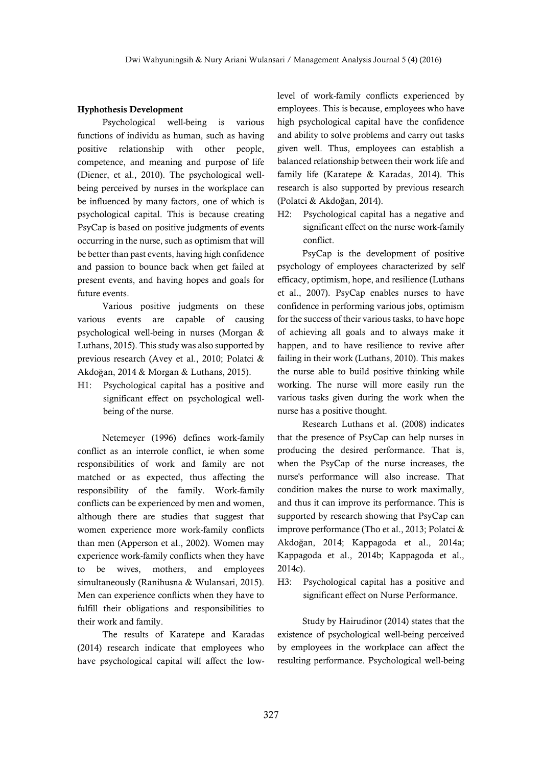#### **Hyphothesis Development**

Psychological well-being is various functions of individu as human, such as having positive relationship with other people, competence, and meaning and purpose of life (Diener, et al., 2010). The psychological wellbeing perceived by nurses in the workplace can be influenced by many factors, one of which is psychological capital. This is because creating PsyCap is based on positive judgments of events occurring in the nurse, such as optimism that will be better than past events, having high confidence and passion to bounce back when get failed at present events, and having hopes and goals for future events.

Various positive judgments on these various events are capable of causing psychological well-being in nurses (Morgan & Luthans, 2015). This study was also supported by previous research (Avey et al., 2010; Polatci & Akdoğan, 2014 & Morgan & Luthans, 2015).

H1: Psychological capital has a positive and significant effect on psychological wellbeing of the nurse.

Netemeyer (1996) defines work-family conflict as an interrole conflict, ie when some responsibilities of work and family are not matched or as expected, thus affecting the responsibility of the family. Work-family conflicts can be experienced by men and women, although there are studies that suggest that women experience more work-family conflicts than men (Apperson et al., 2002). Women may experience work-family conflicts when they have to be wives, mothers, and employees simultaneously (Ranihusna & Wulansari, 2015). Men can experience conflicts when they have to fulfill their obligations and responsibilities to their work and family.

The results of Karatepe and Karadas (2014) research indicate that employees who have psychological capital will affect the lowlevel of work-family conflicts experienced by employees. This is because, employees who have high psychological capital have the confidence and ability to solve problems and carry out tasks given well. Thus, employees can establish a balanced relationship between their work life and family life (Karatepe & Karadas, 2014). This research is also supported by previous research (Polatci & Akdoğan, 2014).

H2: Psychological capital has a negative and significant effect on the nurse work-family conflict.

PsyCap is the development of positive psychology of employees characterized by self efficacy, optimism, hope, and resilience (Luthans et al., 2007). PsyCap enables nurses to have confidence in performing various jobs, optimism for the success of their various tasks, to have hope of achieving all goals and to always make it happen, and to have resilience to revive after failing in their work (Luthans, 2010). This makes the nurse able to build positive thinking while working. The nurse will more easily run the various tasks given during the work when the nurse has a positive thought.

Research Luthans et al. (2008) indicates that the presence of PsyCap can help nurses in producing the desired performance. That is, when the PsyCap of the nurse increases, the nurse's performance will also increase. That condition makes the nurse to work maximally, and thus it can improve its performance. This is supported by research showing that PsyCap can improve performance (Tho et al., 2013; Polatci & Akdoğan, 2014; Kappagoda et al., 2014a; Kappagoda et al., 2014b; Kappagoda et al., 2014c).

H3: Psychological capital has a positive and significant effect on Nurse Performance.

Study by Hairudinor (2014) states that the existence of psychological well-being perceived by employees in the workplace can affect the resulting performance. Psychological well-being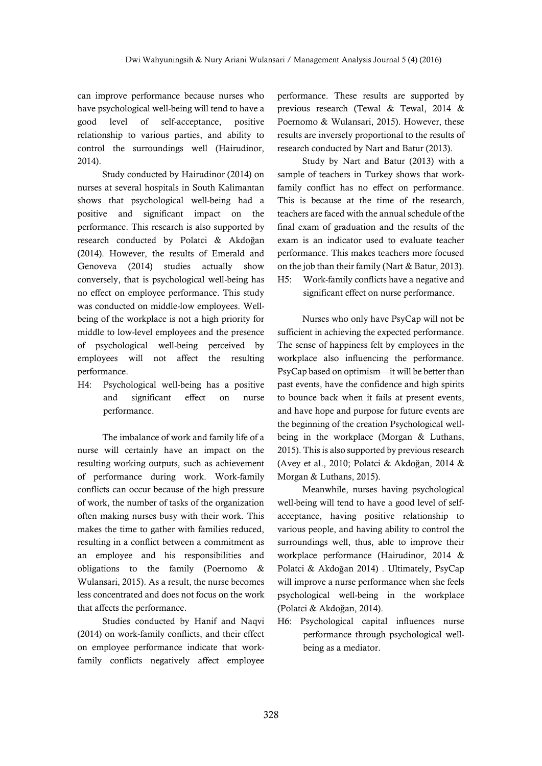can improve performance because nurses who have psychological well-being will tend to have a good level of self-acceptance, positive relationship to various parties, and ability to control the surroundings well (Hairudinor, 2014).

Study conducted by Hairudinor (2014) on nurses at several hospitals in South Kalimantan shows that psychological well-being had a positive and significant impact on the performance. This research is also supported by research conducted by Polatci & Akdoğan (2014). However, the results of Emerald and Genoveva (2014) studies actually show conversely, that is psychological well-being has no effect on employee performance. This study was conducted on middle-low employees. Wellbeing of the workplace is not a high priority for middle to low-level employees and the presence of psychological well-being perceived by employees will not affect the resulting performance.

H4: Psychological well-being has a positive and significant effect on nurse performance.

The imbalance of work and family life of a nurse will certainly have an impact on the resulting working outputs, such as achievement of performance during work. Work-family conflicts can occur because of the high pressure of work, the number of tasks of the organization often making nurses busy with their work. This makes the time to gather with families reduced, resulting in a conflict between a commitment as an employee and his responsibilities and obligations to the family (Poernomo & Wulansari, 2015). As a result, the nurse becomes less concentrated and does not focus on the work that affects the performance.

Studies conducted by Hanif and Naqvi (2014) on work-family conflicts, and their effect on employee performance indicate that workfamily conflicts negatively affect employee

performance. These results are supported by previous research (Tewal & Tewal, 2014 & Poernomo & Wulansari, 2015). However, these results are inversely proportional to the results of research conducted by Nart and Batur (2013).

Study by Nart and Batur (2013) with a sample of teachers in Turkey shows that workfamily conflict has no effect on performance. This is because at the time of the research, teachers are faced with the annual schedule of the final exam of graduation and the results of the exam is an indicator used to evaluate teacher performance. This makes teachers more focused on the job than their family (Nart & Batur, 2013). H5: Work-family conflicts have a negative and

significant effect on nurse performance.

Nurses who only have PsyCap will not be sufficient in achieving the expected performance. The sense of happiness felt by employees in the workplace also influencing the performance. PsyCap based on optimism—it will be better than past events, have the confidence and high spirits to bounce back when it fails at present events, and have hope and purpose for future events are the beginning of the creation Psychological wellbeing in the workplace (Morgan & Luthans, 2015). This is also supported by previous research (Avey et al., 2010; Polatci & Akdoğan, 2014 & Morgan & Luthans, 2015).

Meanwhile, nurses having psychological well-being will tend to have a good level of selfacceptance, having positive relationship to various people, and having ability to control the surroundings well, thus, able to improve their workplace performance (Hairudinor, 2014 & Polatci & Akdoğan 2014) . Ultimately, PsyCap will improve a nurse performance when she feels psychological well-being in the workplace (Polatci & Akdoğan, 2014).

H6: Psychological capital influences nurse performance through psychological wellbeing as a mediator.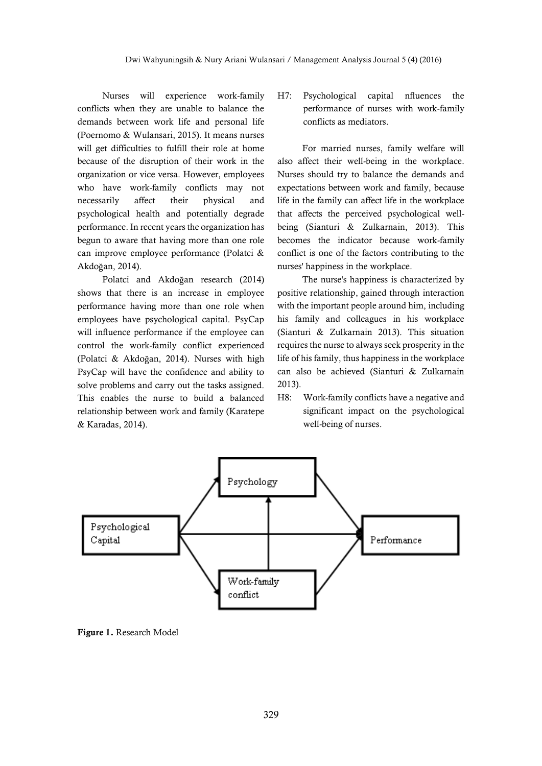Nurses will experience work-family conflicts when they are unable to balance the demands between work life and personal life (Poernomo & Wulansari, 2015). It means nurses will get difficulties to fulfill their role at home because of the disruption of their work in the organization or vice versa. However, employees who have work-family conflicts may not necessarily affect their physical and psychological health and potentially degrade performance. In recent years the organization has begun to aware that having more than one role can improve employee performance (Polatci & Akdoğan, 2014).

Polatci and Akdoğan research (2014) shows that there is an increase in employee performance having more than one role when employees have psychological capital. PsyCap will influence performance if the employee can control the work-family conflict experienced (Polatci & Akdoğan, 2014). Nurses with high PsyCap will have the confidence and ability to solve problems and carry out the tasks assigned. This enables the nurse to build a balanced relationship between work and family (Karatepe & Karadas, 2014).

H7: Psychological capital nfluences the performance of nurses with work-family conflicts as mediators.

For married nurses, family welfare will also affect their well-being in the workplace. Nurses should try to balance the demands and expectations between work and family, because life in the family can affect life in the workplace that affects the perceived psychological wellbeing (Sianturi & Zulkarnain, 2013). This becomes the indicator because work-family conflict is one of the factors contributing to the nurses' happiness in the workplace.

The nurse's happiness is characterized by positive relationship, gained through interaction with the important people around him, including his family and colleagues in his workplace (Sianturi & Zulkarnain 2013). This situation requires the nurse to always seek prosperity in the life of his family, thus happiness in the workplace can also be achieved (Sianturi & Zulkarnain 2013).

H8: Work-family conflicts have a negative and significant impact on the psychological well-being of nurses.



**Figure 1.** Research Model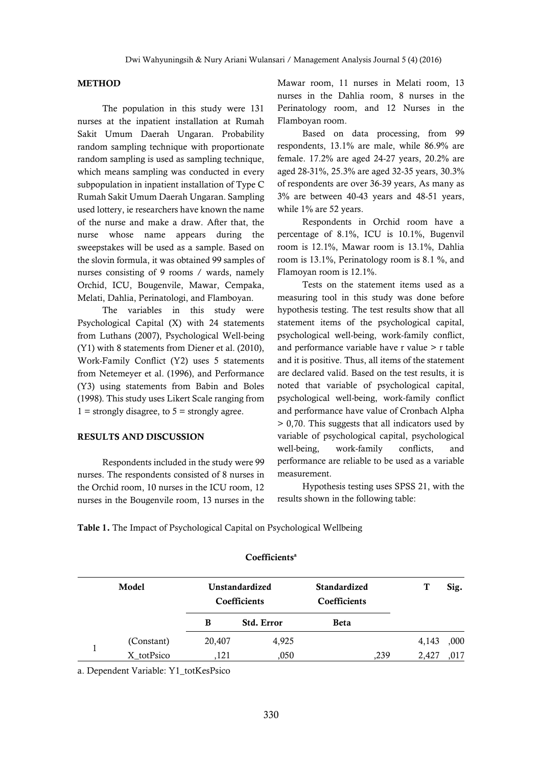### **METHOD**

The population in this study were 131 nurses at the inpatient installation at Rumah Sakit Umum Daerah Ungaran. Probability random sampling technique with proportionate random sampling is used as sampling technique, which means sampling was conducted in every subpopulation in inpatient installation of Type C Rumah Sakit Umum Daerah Ungaran. Sampling used lottery, ie researchers have known the name of the nurse and make a draw. After that, the nurse whose name appears during the sweepstakes will be used as a sample. Based on the slovin formula, it was obtained 99 samples of nurses consisting of 9 rooms / wards, namely Orchid, ICU, Bougenvile, Mawar, Cempaka, Melati, Dahlia, Perinatologi, and Flamboyan.

The variables in this study were Psychological Capital (X) with 24 statements from Luthans (2007), Psychological Well-being (Y1) with 8 statements from Diener et al. (2010), Work-Family Conflict (Y2) uses 5 statements from Netemeyer et al. (1996), and Performance (Y3) using statements from Babin and Boles (1998). This study uses Likert Scale ranging from  $1 =$  strongly disagree, to  $5 =$  strongly agree.

#### **RESULTS AND DISCUSSION**

Respondents included in the study were 99 nurses. The respondents consisted of 8 nurses in the Orchid room, 10 nurses in the ICU room, 12 nurses in the Bougenvile room, 13 nurses in the Mawar room, 11 nurses in Melati room, 13 nurses in the Dahlia room, 8 nurses in the Perinatology room, and 12 Nurses in the Flamboyan room.

Based on data processing, from 99 respondents, 13.1% are male, while 86.9% are female. 17.2% are aged 24-27 years, 20.2% are aged 28-31%, 25.3% are aged 32-35 years, 30.3% of respondents are over 36-39 years, As many as 3% are between 40-43 years and 48-51 years, while 1% are 52 years.

Respondents in Orchid room have a percentage of 8.1%, ICU is 10.1%, Bugenvil room is 12.1%, Mawar room is 13.1%, Dahlia room is 13.1%, Perinatology room is 8.1 %, and Flamoyan room is 12.1%.

Tests on the statement items used as a measuring tool in this study was done before hypothesis testing. The test results show that all statement items of the psychological capital, psychological well-being, work-family conflict, and performance variable have r value > r table and it is positive. Thus, all items of the statement are declared valid. Based on the test results, it is noted that variable of psychological capital, psychological well-being, work-family conflict and performance have value of Cronbach Alpha > 0,70. This suggests that all indicators used by variable of psychological capital, psychological well-being, work-family conflicts, and performance are reliable to be used as a variable measurement.

Hypothesis testing uses SPSS 21, with the results shown in the following table:

|  |  | Table 1. The Impact of Psychological Capital on Psychological Wellbeing |  |
|--|--|-------------------------------------------------------------------------|--|
|  |  |                                                                         |  |

| Model      |        | Unstandardized<br>Coefficients | <b>Standardized</b><br>Coefficients |      |       | Sig. |
|------------|--------|--------------------------------|-------------------------------------|------|-------|------|
|            | В      | <b>Std. Error</b>              | <b>Beta</b>                         |      |       |      |
| (Constant) | 20,407 | 4,925                          |                                     |      | 4,143 | ,000 |
| X totPsico | 121    | ,050                           |                                     | ,239 | 2,427 | .017 |

#### **Coefficients<sup>a</sup>**

a. Dependent Variable: Y1\_totKesPsico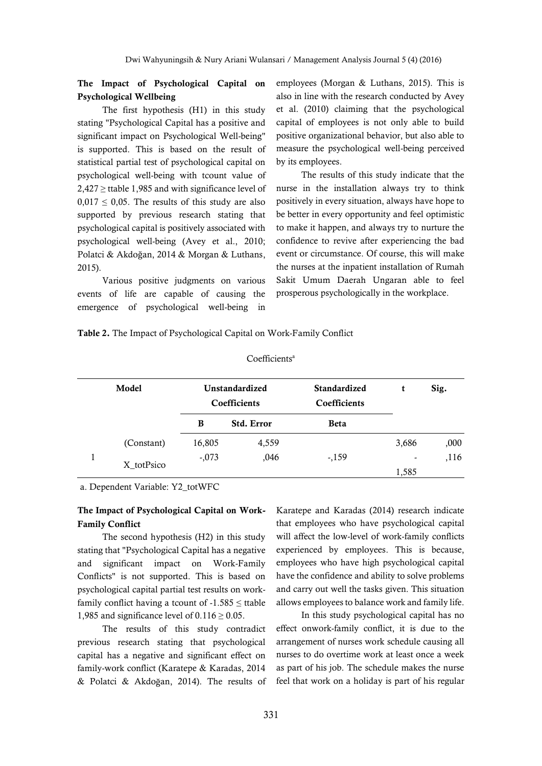# **The Impact of Psychological Capital on Psychological Wellbeing**

The first hypothesis (H1) in this study stating "Psychological Capital has a positive and significant impact on Psychological Well-being" is supported. This is based on the result of statistical partial test of psychological capital on psychological well-being with tcount value of  $2,427 \geq$  ttable 1,985 and with significance level of  $0.017 \le 0.05$ . The results of this study are also supported by previous research stating that psychological capital is positively associated with psychological well-being (Avey et al., 2010; Polatci & Akdoğan, 2014 & Morgan & Luthans, 2015).

Various positive judgments on various events of life are capable of causing the emergence of psychological well-being in employees (Morgan & Luthans, 2015). This is also in line with the research conducted by Avey et al. (2010) claiming that the psychological capital of employees is not only able to build positive organizational behavior, but also able to measure the psychological well-being perceived by its employees.

The results of this study indicate that the nurse in the installation always try to think positively in every situation, always have hope to be better in every opportunity and feel optimistic to make it happen, and always try to nurture the confidence to revive after experiencing the bad event or circumstance. Of course, this will make the nurses at the inpatient installation of Rumah Sakit Umum Daerah Ungaran able to feel prosperous psychologically in the workplace.

**Table 2.** The Impact of Psychological Capital on Work-Family Conflict

| Model |            | Unstandardized<br>Coefficients |                   | <b>Standardized</b><br>Coefficients | t                        | Sig. |
|-------|------------|--------------------------------|-------------------|-------------------------------------|--------------------------|------|
|       |            | B                              | <b>Std. Error</b> | <b>Beta</b>                         |                          |      |
|       | (Constant) | 16,805                         | 4,559             |                                     | 3,686                    | ,000 |
|       | X totPsico | $-.073$                        | ,046              | $-159$                              | $\overline{\phantom{a}}$ | ,116 |
|       |            |                                |                   |                                     | 1,585                    |      |

## Coefficients<sup>a</sup>

a. Dependent Variable: Y2\_totWFC

## **The Impact of Psychological Capital on Work-Family Conflict**

The second hypothesis (H2) in this study stating that "Psychological Capital has a negative and significant impact on Work-Family Conflicts" is not supported. This is based on psychological capital partial test results on workfamily conflict having a tcount of  $-1.585 \leq$  ttable 1,985 and significance level of  $0.116 \ge 0.05$ .

The results of this study contradict previous research stating that psychological capital has a negative and significant effect on family-work conflict (Karatepe & Karadas, 2014 & Polatci & Akdoğan, 2014). The results of Karatepe and Karadas (2014) research indicate that employees who have psychological capital will affect the low-level of work-family conflicts experienced by employees. This is because, employees who have high psychological capital have the confidence and ability to solve problems and carry out well the tasks given. This situation allows employees to balance work and family life.

In this study psychological capital has no effect onwork-family conflict, it is due to the arrangement of nurses work schedule causing all nurses to do overtime work at least once a week as part of his job. The schedule makes the nurse feel that work on a holiday is part of his regular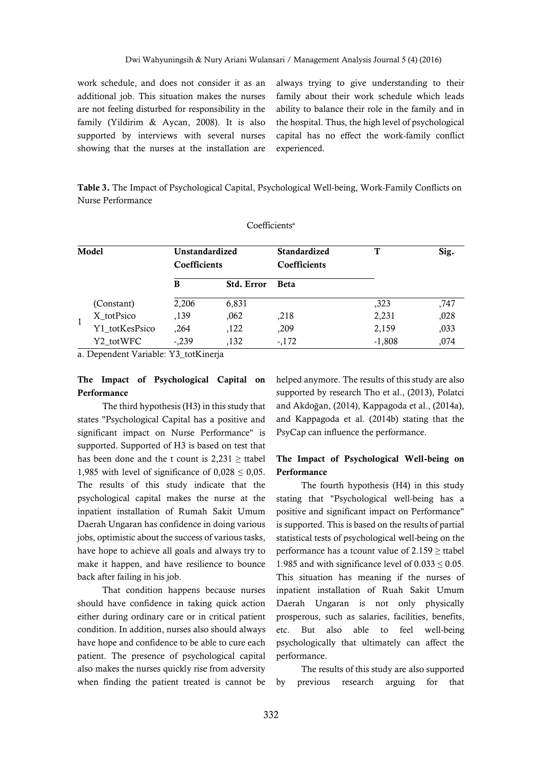work schedule, and does not consider it as an additional job. This situation makes the nurses are not feeling disturbed for responsibility in the family (Yildirim & Aycan, 2008). It is also supported by interviews with several nurses showing that the nurses at the installation are always trying to give understanding to their family about their work schedule which leads ability to balance their role in the family and in the hospital. Thus, the high level of psychological capital has no effect the work-family conflict experienced.

**Table 3.** The Impact of Psychological Capital, Psychological Well-being, Work-Family Conflicts on Nurse Performance

| Model |                | Unstandardized<br>Coefficients |                   | <b>Standardized</b><br>Coefficients | Т        | Sig. |
|-------|----------------|--------------------------------|-------------------|-------------------------------------|----------|------|
|       |                | B                              | <b>Std. Error</b> | <b>Beta</b>                         |          |      |
|       | (Constant)     | 2,206                          | 6,831             |                                     | ,323     | ,747 |
|       | X totPsico     | ,139                           | ,062              | .218                                | 2,231    | ,028 |
|       | Y1 totKesPsico | ,264                           | ,122              | ,209                                | 2,159    | ,033 |
|       | Y2 totWFC      | $-.239$                        | ,132              | $-172$                              | $-1,808$ | .074 |

Coefficients<sup>a</sup>

a. Dependent Variable: Y3\_totKinerja

# **The Impact of Psychological Capital on Performance**

The third hypothesis (H3) in this study that states "Psychological Capital has a positive and significant impact on Nurse Performance" is supported. Supported of H3 is based on test that has been done and the t count is  $2,231 \geq$  ttabel 1,985 with level of significance of  $0.028 \le 0.05$ . The results of this study indicate that the psychological capital makes the nurse at the inpatient installation of Rumah Sakit Umum Daerah Ungaran has confidence in doing various jobs, optimistic about the success of various tasks, have hope to achieve all goals and always try to make it happen, and have resilience to bounce back after failing in his job.

That condition happens because nurses should have confidence in taking quick action either during ordinary care or in critical patient condition. In addition, nurses also should always have hope and confidence to be able to cure each patient. The presence of psychological capital also makes the nurses quickly rise from adversity when finding the patient treated is cannot be

helped anymore. The results of this study are also supported by research Tho et al., (2013), Polatci and Akdoğan, (2014), Kappagoda et al., (2014a), and Kappagoda et al. (2014b) stating that the PsyCap can influence the performance.

# **The Impact of Psychological Well-being on Performance**

The fourth hypothesis (H4) in this study stating that "Psychological well-being has a positive and significant impact on Performance" is supported. This is based on the results of partial statistical tests of psychological well-being on the performance has a tcount value of  $2.159 \geq$  ttabel 1.985 and with significance level of  $0.033 \le 0.05$ . This situation has meaning if the nurses of inpatient installation of Ruah Sakit Umum Daerah Ungaran is not only physically prosperous, such as salaries, facilities, benefits, etc. But also able to feel well-being psychologically that ultimately can affect the performance.

The results of this study are also supported by previous research arguing for that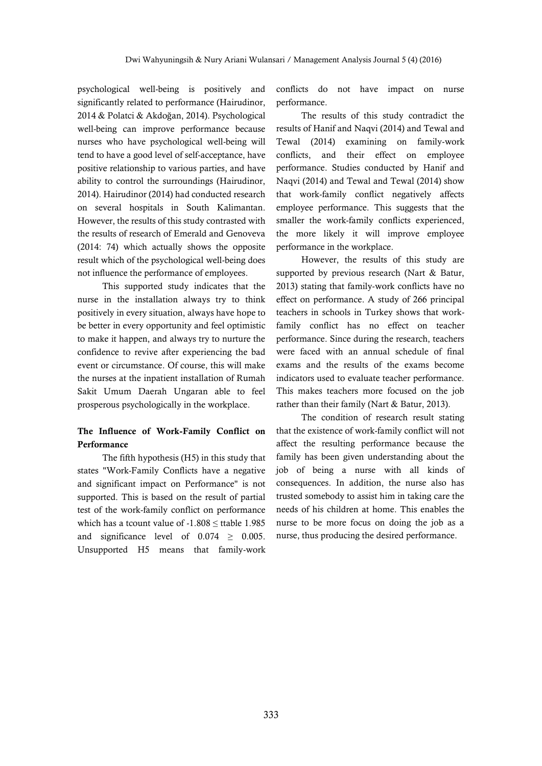psychological well-being is positively and significantly related to performance (Hairudinor, 2014 & Polatci & Akdoğan, 2014). Psychological well-being can improve performance because nurses who have psychological well-being will tend to have a good level of self-acceptance, have positive relationship to various parties, and have ability to control the surroundings (Hairudinor, 2014). Hairudinor (2014) had conducted research on several hospitals in South Kalimantan. However, the results of this study contrasted with the results of research of Emerald and Genoveva (2014: 74) which actually shows the opposite result which of the psychological well-being does not influence the performance of employees.

This supported study indicates that the nurse in the installation always try to think positively in every situation, always have hope to be better in every opportunity and feel optimistic to make it happen, and always try to nurture the confidence to revive after experiencing the bad event or circumstance. Of course, this will make the nurses at the inpatient installation of Rumah Sakit Umum Daerah Ungaran able to feel prosperous psychologically in the workplace.

# **The Influence of Work-Family Conflict on Performance**

The fifth hypothesis (H5) in this study that states "Work-Family Conflicts have a negative and significant impact on Performance" is not supported. This is based on the result of partial test of the work-family conflict on performance which has a tcount value of  $-1.808 \leq$  ttable 1.985 and significance level of  $0.074 \geq 0.005$ . Unsupported H5 means that family-work conflicts do not have impact on nurse performance.

The results of this study contradict the results of Hanif and Naqvi (2014) and Tewal and Tewal (2014) examining on family-work conflicts, and their effect on employee performance. Studies conducted by Hanif and Naqvi (2014) and Tewal and Tewal (2014) show that work-family conflict negatively affects employee performance. This suggests that the smaller the work-family conflicts experienced, the more likely it will improve employee performance in the workplace.

However, the results of this study are supported by previous research (Nart & Batur, 2013) stating that family-work conflicts have no effect on performance. A study of 266 principal teachers in schools in Turkey shows that workfamily conflict has no effect on teacher performance. Since during the research, teachers were faced with an annual schedule of final exams and the results of the exams become indicators used to evaluate teacher performance. This makes teachers more focused on the job rather than their family (Nart & Batur, 2013).

The condition of research result stating that the existence of work-family conflict will not affect the resulting performance because the family has been given understanding about the job of being a nurse with all kinds of consequences. In addition, the nurse also has trusted somebody to assist him in taking care the needs of his children at home. This enables the nurse to be more focus on doing the job as a nurse, thus producing the desired performance.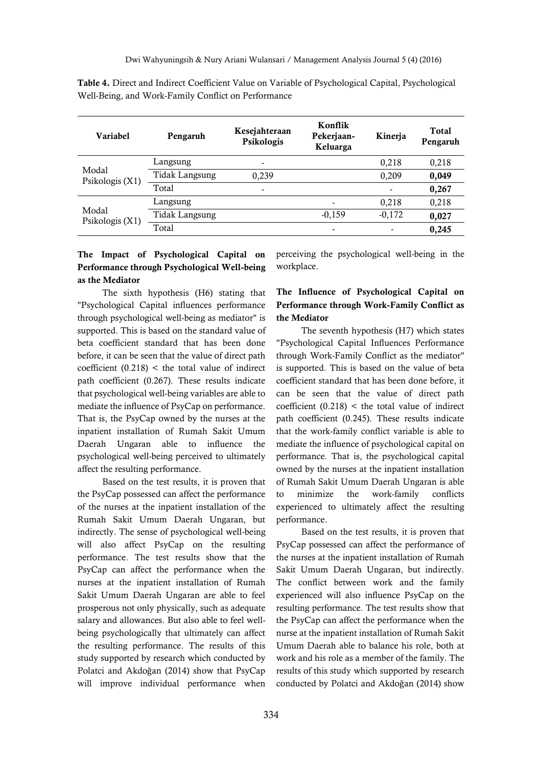| Variabel                   | Pengaruh              | Kesejahteraan<br>Psikologis | Konflik<br>Pekerjaan-<br>Keluarga | Kinerja  | Total<br>Pengaruh |
|----------------------------|-----------------------|-----------------------------|-----------------------------------|----------|-------------------|
|                            | Langsung              | $\overline{\phantom{0}}$    |                                   | 0,218    | 0,218             |
| Modal<br>Psikologis $(X1)$ | <b>Tidak Langsung</b> | 0,239                       |                                   | 0,209    | 0,049             |
|                            | Total                 | $\overline{\phantom{a}}$    |                                   |          | 0,267             |
| Modal<br>Psikologis $(X1)$ | Langsung              |                             |                                   | 0,218    | 0,218             |
|                            | <b>Tidak Langsung</b> |                             | $-0,159$                          | $-0,172$ | 0,027             |
|                            | Total                 |                             | -                                 |          | 0,245             |

**Table 4.** Direct and Indirect Coefficient Value on Variable of Psychological Capital, Psychological Well-Being, and Work-Family Conflict on Performance

# **The Impact of Psychological Capital on Performance through Psychological Well-being as the Mediator**

The sixth hypothesis (H6) stating that "Psychological Capital influences performance through psychological well-being as mediator" is supported. This is based on the standard value of beta coefficient standard that has been done before, it can be seen that the value of direct path coefficient  $(0.218)$  < the total value of indirect path coefficient (0.267). These results indicate that psychological well-being variables are able to mediate the influence of PsyCap on performance. That is, the PsyCap owned by the nurses at the inpatient installation of Rumah Sakit Umum Daerah Ungaran able to influence the psychological well-being perceived to ultimately affect the resulting performance.

Based on the test results, it is proven that the PsyCap possessed can affect the performance of the nurses at the inpatient installation of the Rumah Sakit Umum Daerah Ungaran, but indirectly. The sense of psychological well-being will also affect PsyCap on the resulting performance. The test results show that the PsyCap can affect the performance when the nurses at the inpatient installation of Rumah Sakit Umum Daerah Ungaran are able to feel prosperous not only physically, such as adequate salary and allowances. But also able to feel wellbeing psychologically that ultimately can affect the resulting performance. The results of this study supported by research which conducted by Polatci and Akdoğan (2014) show that PsyCap will improve individual performance when

perceiving the psychological well-being in the workplace.

# **The Influence of Psychological Capital on Performance through Work-Family Conflict as the Mediator**

The seventh hypothesis (H7) which states "Psychological Capital Influences Performance through Work-Family Conflict as the mediator" is supported. This is based on the value of beta coefficient standard that has been done before, it can be seen that the value of direct path coefficient  $(0.218)$  < the total value of indirect path coefficient (0.245). These results indicate that the work-family conflict variable is able to mediate the influence of psychological capital on performance. That is, the psychological capital owned by the nurses at the inpatient installation of Rumah Sakit Umum Daerah Ungaran is able to minimize the work-family conflicts experienced to ultimately affect the resulting performance.

Based on the test results, it is proven that PsyCap possessed can affect the performance of the nurses at the inpatient installation of Rumah Sakit Umum Daerah Ungaran, but indirectly. The conflict between work and the family experienced will also influence PsyCap on the resulting performance. The test results show that the PsyCap can affect the performance when the nurse at the inpatient installation of Rumah Sakit Umum Daerah able to balance his role, both at work and his role as a member of the family. The results of this study which supported by research conducted by Polatci and Akdoğan (2014) show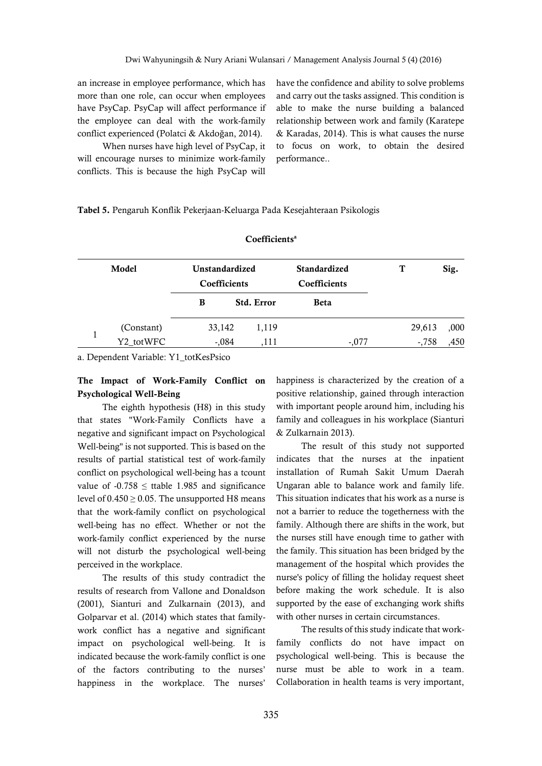an increase in employee performance, which has more than one role, can occur when employees have PsyCap. PsyCap will affect performance if the employee can deal with the work-family conflict experienced (Polatci & Akdoğan, 2014).

When nurses have high level of PsyCap, it will encourage nurses to minimize work-family conflicts. This is because the high PsyCap will

have the confidence and ability to solve problems and carry out the tasks assigned. This condition is able to make the nurse building a balanced relationship between work and family (Karatepe & Karadas, 2014). This is what causes the nurse to focus on work, to obtain the desired performance..

**Tabel 5.** Pengaruh Konflik Pekerjaan-Keluarga Pada Kesejahteraan Psikologis

| Model |            | Unstandardized<br>Coefficients |                   | <b>Standardized</b><br>Coefficients | T        | Sig. |
|-------|------------|--------------------------------|-------------------|-------------------------------------|----------|------|
|       |            | B                              | <b>Std. Error</b> | <b>Beta</b>                         |          |      |
|       | (Constant) | 33,142                         | 1,119             |                                     | 29,613   | ,000 |
|       | Y2_totWFC  | $-.084$                        | 111               | $-.077$                             | $-0.758$ | ,450 |

#### **Coefficients<sup>a</sup>**

a. Dependent Variable: Y1\_totKesPsico

# **The Impact of Work-Family Conflict on Psychological Well-Being**

The eighth hypothesis (H8) in this study that states "Work-Family Conflicts have a negative and significant impact on Psychological Well-being" is not supported. This is based on the results of partial statistical test of work-family conflict on psychological well-being has a tcount value of  $-0.758 \le$  ttable 1.985 and significance level of  $0.450 \ge 0.05$ . The unsupported H8 means that the work-family conflict on psychological well-being has no effect. Whether or not the work-family conflict experienced by the nurse will not disturb the psychological well-being perceived in the workplace.

The results of this study contradict the results of research from Vallone and Donaldson (2001), Sianturi and Zulkarnain (2013), and Golparvar et al. (2014) which states that familywork conflict has a negative and significant impact on psychological well-being. It is indicated because the work-family conflict is one of the factors contributing to the nurses' happiness in the workplace. The nurses'

happiness is characterized by the creation of a positive relationship, gained through interaction with important people around him, including his family and colleagues in his workplace (Sianturi & Zulkarnain 2013).

The result of this study not supported indicates that the nurses at the inpatient installation of Rumah Sakit Umum Daerah Ungaran able to balance work and family life. This situation indicates that his work as a nurse is not a barrier to reduce the togetherness with the family. Although there are shifts in the work, but the nurses still have enough time to gather with the family. This situation has been bridged by the management of the hospital which provides the nurse's policy of filling the holiday request sheet before making the work schedule. It is also supported by the ease of exchanging work shifts with other nurses in certain circumstances.

The results of this study indicate that workfamily conflicts do not have impact on psychological well-being. This is because the nurse must be able to work in a team. Collaboration in health teams is very important,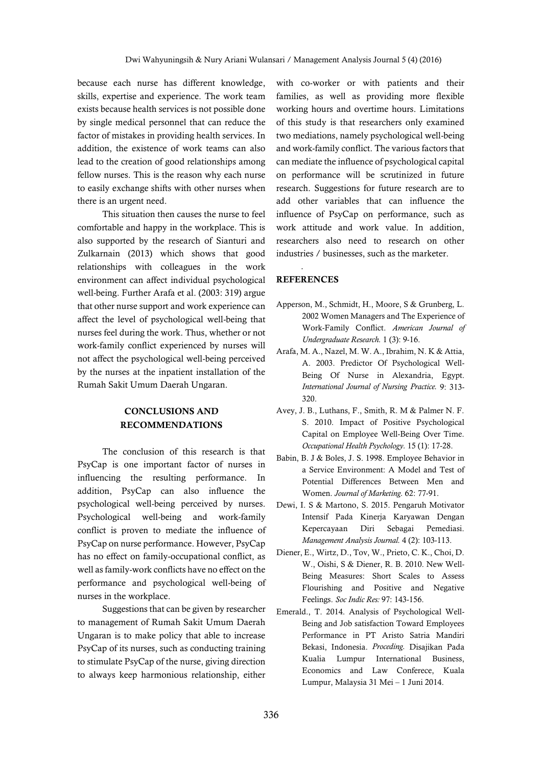because each nurse has different knowledge, skills, expertise and experience. The work team exists because health services is not possible done by single medical personnel that can reduce the factor of mistakes in providing health services. In addition, the existence of work teams can also lead to the creation of good relationships among fellow nurses. This is the reason why each nurse to easily exchange shifts with other nurses when there is an urgent need.

This situation then causes the nurse to feel comfortable and happy in the workplace. This is also supported by the research of Sianturi and Zulkarnain (2013) which shows that good relationships with colleagues in the work environment can affect individual psychological well-being. Further Arafa et al. (2003: 319) argue that other nurse support and work experience can affect the level of psychological well-being that nurses feel during the work. Thus, whether or not work-family conflict experienced by nurses will not affect the psychological well-being perceived by the nurses at the inpatient installation of the Rumah Sakit Umum Daerah Ungaran.

# **CONCLUSIONS AND RECOMMENDATIONS**

The conclusion of this research is that PsyCap is one important factor of nurses in influencing the resulting performance. In addition, PsyCap can also influence the psychological well-being perceived by nurses. Psychological well-being and work-family conflict is proven to mediate the influence of PsyCap on nurse performance. However, PsyCap has no effect on family-occupational conflict, as well as family-work conflicts have no effect on the performance and psychological well-being of nurses in the workplace.

Suggestions that can be given by researcher to management of Rumah Sakit Umum Daerah Ungaran is to make policy that able to increase PsyCap of its nurses, such as conducting training to stimulate PsyCap of the nurse, giving direction to always keep harmonious relationship, either

with co-worker or with patients and their families, as well as providing more flexible working hours and overtime hours. Limitations of this study is that researchers only examined two mediations, namely psychological well-being and work-family conflict. The various factors that can mediate the influence of psychological capital on performance will be scrutinized in future research. Suggestions for future research are to add other variables that can influence the influence of PsyCap on performance, such as work attitude and work value. In addition, researchers also need to research on other industries / businesses, such as the marketer.

# *.* **REFERENCES**

- Apperson, M., Schmidt, H., Moore, S & Grunberg, L. 2002 Women Managers and The Experience of Work-Family Conflict. *American Journal of Undergraduate Research.* 1 (3): 9-16.
- Arafa, M. A., Nazel, M. W. A., Ibrahim, N. K & Attia, A. 2003. Predictor Of Psychological Well-Being Of Nurse in Alexandria, Egypt. *International Journal of Nursing Practice.* 9: 313- 320.
- Avey, J. B., Luthans, F., Smith, R. M & Palmer N. F. S. 2010. Impact of Positive Psychological Capital on Employee Well-Being Over Time. *Occupational Health Psychology.* 15 (1): 17-28.
- Babin, B. J & Boles, J. S. 1998. Employee Behavior in a Service Environment: A Model and Test of Potential Differences Between Men and Women. *Journal of Marketing.* 62: 77-91.
- Dewi, I. S & Martono, S. 2015. Pengaruh Motivator Intensif Pada Kinerja Karyawan Dengan Kepercayaan Diri Sebagai Pemediasi. *Management Analysis Journal.* 4 (2): 103-113.
- Diener, E., Wirtz, D., Tov, W., Prieto, C. K., Choi, D. W., Oishi, S & Diener, R. B. 2010. New Well-Being Measures: Short Scales to Assess Flourishing and Positive and Negative Feelings. *Soc Indic Res:* 97: 143-156.
- Emerald., T. 2014. Analysis of Psychological Well-Being and Job satisfaction Toward Employees Performance in PT Aristo Satria Mandiri Bekasi, Indonesia. *Proceding.* Disajikan Pada Kualia Lumpur International Business, Economics and Law Conferece, Kuala Lumpur, Malaysia 31 Mei – 1 Juni 2014.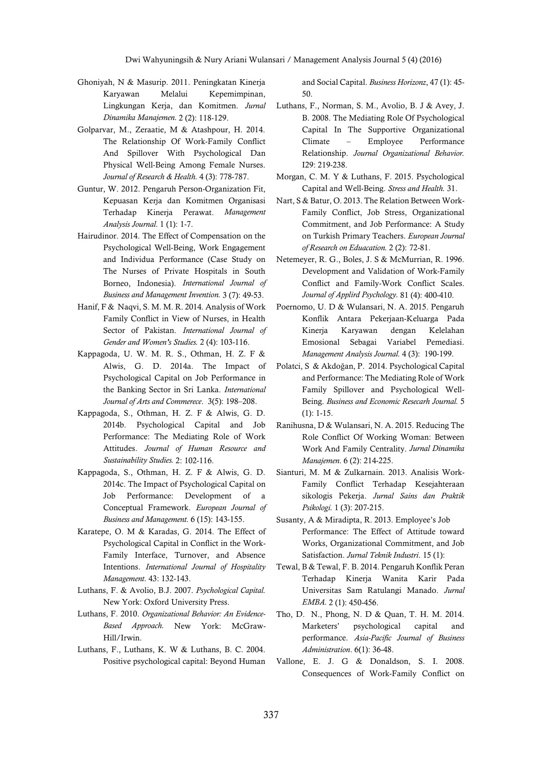- Ghoniyah, N & Masurip. 2011. Peningkatan Kinerja Karyawan Melalui Kepemimpinan, Lingkungan Kerja, dan Komitmen. *Jurnal Dinamika Manajemen.* 2 (2): 118-129.
- Golparvar, M., Zeraatie, M & Atashpour, H. 2014. The Relationship Of Work-Family Conflict And Spillover With Psychological Dan Physical Well-Being Among Female Nurses. *Journal of Research & Health.* 4 (3): 778-787.
- Guntur, W. 2012. Pengaruh Person-Organization Fit, Kepuasan Kerja dan Komitmen Organisasi Terhadap Kinerja Perawat. *Management Analysis Journal.* 1 (1): 1-7.
- Hairudinor. 2014. The Effect of Compensation on the Psychological Well-Being, Work Engagement and Individua Performance (Case Study on The Nurses of Private Hospitals in South Borneo, Indonesia). *International Journal of Business and Management Invention.* 3 (7): 49-53.
- Hanif, F & Naqvi, S. M. M. R. 2014. Analysis of Work Family Conflict in View of Nurses, in Health Sector of Pakistan. *International Journal of Gender and Women's Studies.* 2 (4): 103-116.
- Kappagoda, U. W. M. R. S., Othman, H. Z. F & Alwis, G. D. 2014a. The Impact of Psychological Capital on Job Performance in the Banking Sector in Sri Lanka. *International Journal of Arts and Commerece*. 3(5): 198–208.
- Kappagoda, S., Othman, H. Z. F & Alwis, G. D. 2014b. Psychological Capital and Job Performance: The Mediating Role of Work Attitudes. *Journal of Human Resource and Sustainability Studies.* 2: 102-116.
- Kappagoda, S., Othman, H. Z. F & Alwis, G. D. 2014c. The Impact of Psychological Capital on Job Performance: Development of a Conceptual Framework. *European Journal of Business and Management.* 6 (15): 143-155.
- Karatepe, O. M & Karadas, G. 2014. The Effect of Psychological Capital in Conflict in the Work-Family Interface, Turnover, and Absence Intentions. *International Journal of Hospitality Management.* 43: 132-143.
- Luthans, F. & Avolio, B.J. 2007. *Psychological Capital.*  New York: Oxford University Press.
- Luthans, F. 2010. *Organizational Behavior: An Evidence-Based Approach.* New York: McGraw-Hill/Irwin.
- Luthans, F., Luthans, K. W & Luthans, B. C. 2004. Positive psychological capital: Beyond Human

and Social Capital. *Business Horizonz*, 47 (1): 45- 50.

- Luthans, F., Norman, S. M., Avolio, B. J & Avey, J. B. 2008. The Mediating Role Of Psychological Capital In The Supportive Organizational Climate – Employee Performance Relationship. *Journal Organizational Behavior.*  I29: 219-238.
- Morgan, C. M. Y & Luthans, F. 2015. Psychological Capital and Well-Being. *Stress and Health.* 31.
- Nart, S & Batur, O. 2013. The Relation Between Work-Family Conflict, Job Stress, Organizational Commitment, and Job Performance: A Study on Turkish Primary Teachers. *European Journal of Research on Eduacation.* 2 (2): 72-81.
- Netemeyer, R. G., Boles, J. S & McMurrian, R. 1996. Development and Validation of Work-Family Conflict and Family-Work Conflict Scales. *Journal of Applird Psychology.* 81 (4): 400-410.
- Poernomo, U. D & Wulansari, N. A. 2015. Pengaruh Konflik Antara Pekerjaan-Keluarga Pada Kinerja Karyawan dengan Kelelahan Emosional Sebagai Variabel Pemediasi. *Management Analysis Journal.* 4 (3): 190-199.
- Polatci, S & Akdoğan, P. 2014. Psychological Capital and Performance: The Mediating Role of Work Family Spillover and Psychological Well-Being. *Business and Economic Resecarh Journal.* 5 (1): 1-15.
- Ranihusna, D & Wulansari, N. A. 2015. Reducing The Role Conflict Of Working Woman: Between Work And Family Centrality. *Jurnal Dinamika Manajemen.* 6 (2): 214-225.
- Sianturi, M. M & Zulkarnain. 2013. Analisis Work-Family Conflict Terhadap Kesejahteraan sikologis Pekerja. *Jurnal Sains dan Praktik Psikologi.* 1 (3): 207-215.
- Susanty, A & Miradipta, R. 2013. Employee's Job Performance: The Effect of Attitude toward Works, Organizational Commitment, and Job Satisfaction. *Jurnal Teknik Industri*. 15 (1):
- Tewal, B & Tewal, F. B. 2014. Pengaruh Konflik Peran Terhadap Kinerja Wanita Karir Pada Universitas Sam Ratulangi Manado. *Jurnal EMBA.* 2 (1): 450-456.
- Tho, D. N., Phong, N. D & Quan, T. H. M. 2014. Marketers' psychological capital and performance. *Asia-Pacific Journal of Business Administration*. 6(1): 36-48.
- Vallone, E. J. G & Donaldson, S. I. 2008. Consequences of Work-Family Conflict on